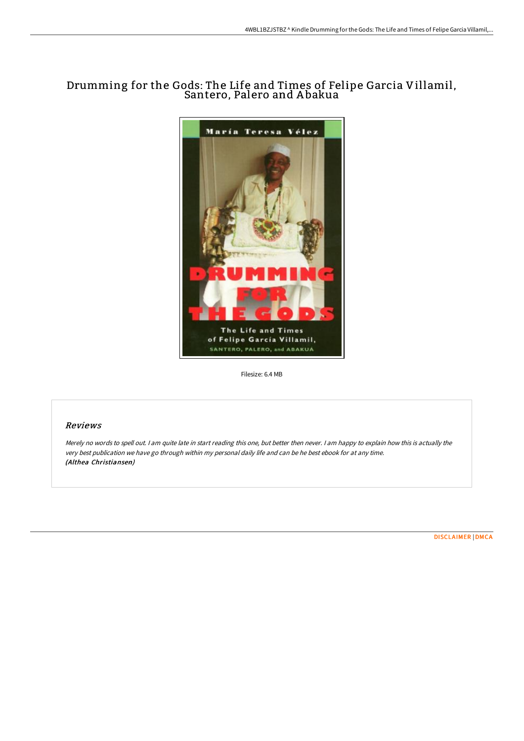# Drumming for the Gods: The Life and Times of Felipe Garcia Villamil, Santero, Palero and A bakua



Filesize: 6.4 MB

### Reviews

Merely no words to spell out. I am quite late in start reading this one, but better then never. I am happy to explain how this is actually the very best publication we have go through within my personal daily life and can be he best ebook for at any time. (Althea Christiansen)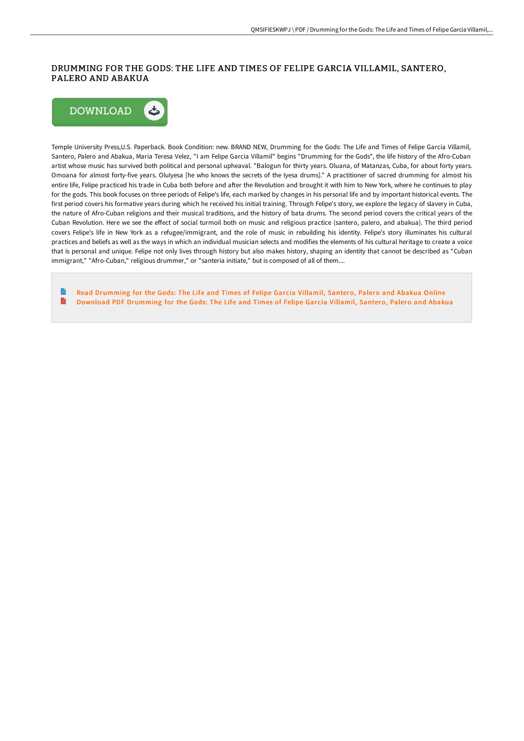## DRUMMING FOR THE GODS: THE LIFE AND TIMES OF FELIPE GARCIA VILLAMIL, SANTERO, PALERO AND ABAKUA



Temple University Press,U.S. Paperback. Book Condition: new. BRAND NEW, Drumming for the Gods: The Life and Times of Felipe Garcia Villamil, Santero, Palero and Abakua, Maria Teresa Velez, "I am Felipe Garcia Villamil" begins "Drumming for the Gods", the life history of the Afro-Cuban artist whose music has survived both political and personal upheaval. "Balogun for thirty years. Oluana, of Matanzas, Cuba, for about forty years. Omoana for almost forty-five years. OluIyesa [he who knows the secrets of the Iyesa drums]." A practitioner of sacred drumming for almost his entire life, Felipe practiced his trade in Cuba both before and after the Revolution and brought it with him to New York, where he continues to play for the gods. This book focuses on three periods of Felipe's life, each marked by changes in his personal life and by important historical events. The first period covers his formative years during which he received his initial training. Through Felipe's story, we explore the legacy of slavery in Cuba, the nature of Afro-Cuban religions and their musical traditions, and the history of bata drums. The second period covers the critical years of the Cuban Revolution. Here we see the eFect of social turmoil both on music and religious practice (santero, palero, and abakua). The third period covers Felipe's life in New York as a refugee/immigrant, and the role of music in rebuilding his identity. Felipe's story illuminates his cultural practices and beliefs as well as the ways in which an individual musician selects and modifies the elements of his cultural heritage to create a voice that is personal and unique. Felipe not only lives through history but also makes history, shaping an identity that cannot be described as "Cuban immigrant," "Afro-Cuban," religious drummer," or "santeria initiate," but is composed of all of them....

Read [Drumming](http://digilib.live/drumming-for-the-gods-the-life-and-times-of-feli.html) for the Gods: The Life and Times of Felipe Garcia Villamil, Santero, Palero and Abakua Online  $\blacksquare$ Download PDF [Drumming](http://digilib.live/drumming-for-the-gods-the-life-and-times-of-feli.html) for the Gods: The Life and Times of Felipe Garcia Villamil, Santero, Palero and Abakua